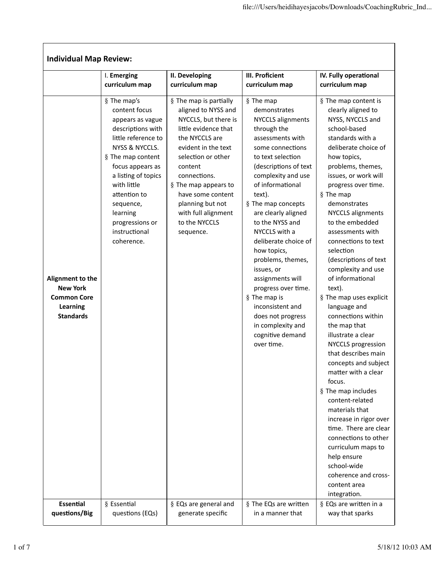| <b>Individual Map Review:</b>                                                             |                                                                                                                                                                                                                                                                                          |                                                                                                                                                                                                                                                                                                               |                                                                                                                                                                                                                                                                                                                                                                                                                                                                                                                               |                                                                                                                                                                                                                                                                                                                                                                                                                                                                                                                                                                                                                                                                                                                                                                                                                                                                                                      |
|-------------------------------------------------------------------------------------------|------------------------------------------------------------------------------------------------------------------------------------------------------------------------------------------------------------------------------------------------------------------------------------------|---------------------------------------------------------------------------------------------------------------------------------------------------------------------------------------------------------------------------------------------------------------------------------------------------------------|-------------------------------------------------------------------------------------------------------------------------------------------------------------------------------------------------------------------------------------------------------------------------------------------------------------------------------------------------------------------------------------------------------------------------------------------------------------------------------------------------------------------------------|------------------------------------------------------------------------------------------------------------------------------------------------------------------------------------------------------------------------------------------------------------------------------------------------------------------------------------------------------------------------------------------------------------------------------------------------------------------------------------------------------------------------------------------------------------------------------------------------------------------------------------------------------------------------------------------------------------------------------------------------------------------------------------------------------------------------------------------------------------------------------------------------------|
|                                                                                           | I. Emerging                                                                                                                                                                                                                                                                              | II. Developing                                                                                                                                                                                                                                                                                                | III. Proficient                                                                                                                                                                                                                                                                                                                                                                                                                                                                                                               | IV. Fully operational                                                                                                                                                                                                                                                                                                                                                                                                                                                                                                                                                                                                                                                                                                                                                                                                                                                                                |
|                                                                                           | curriculum map                                                                                                                                                                                                                                                                           | curriculum map                                                                                                                                                                                                                                                                                                | curriculum map                                                                                                                                                                                                                                                                                                                                                                                                                                                                                                                | curriculum map                                                                                                                                                                                                                                                                                                                                                                                                                                                                                                                                                                                                                                                                                                                                                                                                                                                                                       |
| Alignment to the<br><b>New York</b><br><b>Common Core</b><br>Learning<br><b>Standards</b> | § The map's<br>content focus<br>appears as vague<br>descriptions with<br>little reference to<br>NYSS & NYCCLS.<br>§ The map content<br>focus appears as<br>a listing of topics<br>with little<br>attention to<br>sequence,<br>learning<br>progressions or<br>instructional<br>coherence. | § The map is partially<br>aligned to NYSS and<br>NYCCLS, but there is<br>little evidence that<br>the NYCCLS are<br>evident in the text<br>selection or other<br>content<br>connections.<br>§ The map appears to<br>have some content<br>planning but not<br>with full alignment<br>to the NYCCLS<br>sequence. | § The map<br>demonstrates<br>NYCCLS alignments<br>through the<br>assessments with<br>some connections<br>to text selection<br>(descriptions of text<br>complexity and use<br>of informational<br>text).<br>§ The map concepts<br>are clearly aligned<br>to the NYSS and<br>NYCCLS with a<br>deliberate choice of<br>how topics,<br>problems, themes,<br>issues, or<br>assignments will<br>progress over time.<br>§ The map is<br>inconsistent and<br>does not progress<br>in complexity and<br>cognitive demand<br>over time. | § The map content is<br>clearly aligned to<br>NYSS, NYCCLS and<br>school-based<br>standards with a<br>deliberate choice of<br>how topics,<br>problems, themes,<br>issues, or work will<br>progress over time.<br>§ The map<br>demonstrates<br><b>NYCCLS alignments</b><br>to the embedded<br>assessments with<br>connections to text<br>selection<br>(descriptions of text<br>complexity and use<br>of informational<br>text).<br>§ The map uses explicit<br>language and<br>connections within<br>the map that<br>illustrate a clear<br><b>NYCCLS</b> progression<br>that describes main<br>concepts and subject<br>matter with a clear<br>focus.<br>§ The map includes<br>content-related<br>materials that<br>increase in rigor over<br>time. There are clear<br>connections to other<br>curriculum maps to<br>help ensure<br>school-wide<br>coherence and cross-<br>content area<br>integration. |
| Essential                                                                                 | § Essential                                                                                                                                                                                                                                                                              | § EQs are general and                                                                                                                                                                                                                                                                                         | § The EQs are written                                                                                                                                                                                                                                                                                                                                                                                                                                                                                                         | § EQs are written in a                                                                                                                                                                                                                                                                                                                                                                                                                                                                                                                                                                                                                                                                                                                                                                                                                                                                               |
| questions/Big                                                                             | questions (EQs)                                                                                                                                                                                                                                                                          | generate specific                                                                                                                                                                                                                                                                                             | in a manner that                                                                                                                                                                                                                                                                                                                                                                                                                                                                                                              | way that sparks                                                                                                                                                                                                                                                                                                                                                                                                                                                                                                                                                                                                                                                                                                                                                                                                                                                                                      |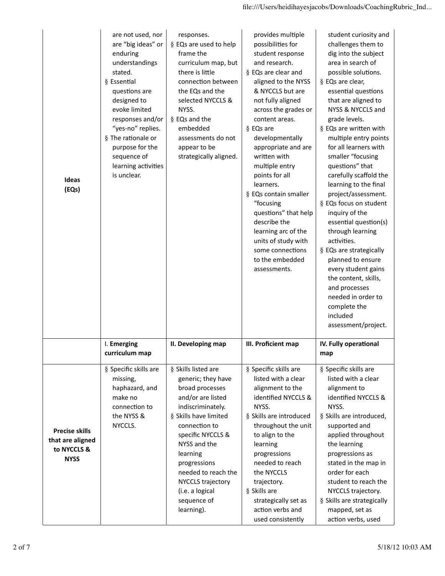| Ideas<br>(EQs)                                                          | are not used, nor<br>are "big ideas" or<br>enduring<br>understandings<br>stated.<br>§ Essential<br>questions are<br>designed to<br>evoke limited<br>responses and/or<br>"yes-no" replies.<br>§ The rationale or<br>purpose for the<br>sequence of<br>learning activities<br>is unclear. | responses.<br>§ EQs are used to help<br>frame the<br>curriculum map, but<br>there is little<br>connection between<br>the EQs and the<br>selected NYCCLS &<br>NYSS.<br>§ EQs and the<br>embedded<br>assessments do not<br>appear to be<br>strategically aligned.                                               | provides multiple<br>possibilities for<br>student response<br>and research.<br>§ EQs are clear and<br>aligned to the NYSS<br>& NYCCLS but are<br>not fully aligned<br>across the grades or<br>content areas.<br>§ EQs are<br>developmentally<br>appropriate and are<br>written with<br>multiple entry<br>points for all<br>learners.<br>§ EQs contain smaller<br>"focusing<br>questions" that help<br>describe the<br>learning arc of the<br>units of study with<br>some connections<br>to the embedded<br>assessments. | student curiosity and<br>challenges them to<br>dig into the subject<br>area in search of<br>possible solutions.<br>§ EQs are clear,<br>essential questions<br>that are aligned to<br>NYSS & NYCCLS and<br>grade levels.<br>§ EQs are written with<br>multiple entry points<br>for all learners with<br>smaller "focusing<br>questions" that<br>carefully scaffold the<br>learning to the final<br>project/assessment.<br>§ EQs focus on student<br>inquiry of the<br>essential question(s)<br>through learning<br>activities.<br>§ EQs are strategically<br>planned to ensure<br>every student gains<br>the content, skills,<br>and processes<br>needed in order to<br>complete the<br>included<br>assessment/project. |
|-------------------------------------------------------------------------|-----------------------------------------------------------------------------------------------------------------------------------------------------------------------------------------------------------------------------------------------------------------------------------------|---------------------------------------------------------------------------------------------------------------------------------------------------------------------------------------------------------------------------------------------------------------------------------------------------------------|-------------------------------------------------------------------------------------------------------------------------------------------------------------------------------------------------------------------------------------------------------------------------------------------------------------------------------------------------------------------------------------------------------------------------------------------------------------------------------------------------------------------------|------------------------------------------------------------------------------------------------------------------------------------------------------------------------------------------------------------------------------------------------------------------------------------------------------------------------------------------------------------------------------------------------------------------------------------------------------------------------------------------------------------------------------------------------------------------------------------------------------------------------------------------------------------------------------------------------------------------------|
|                                                                         | I. Emerging<br>curriculum map                                                                                                                                                                                                                                                           | II. Developing map                                                                                                                                                                                                                                                                                            | III. Proficient map                                                                                                                                                                                                                                                                                                                                                                                                                                                                                                     | IV. Fully operational<br>map                                                                                                                                                                                                                                                                                                                                                                                                                                                                                                                                                                                                                                                                                           |
| <b>Precise skills</b><br>that are aligned<br>to NYCCLS &<br><b>NYSS</b> | § Specific skills are<br>missing,<br>haphazard, and<br>make no<br>connection to<br>the NYSS &<br>NYCCLS.                                                                                                                                                                                | § Skills listed are<br>generic; they have<br>broad processes<br>and/or are listed<br>indiscriminately.<br>§ Skills have limited<br>connection to<br>specific NYCCLS &<br>NYSS and the<br>learning<br>progressions<br>needed to reach the<br>NYCCLS trajectory<br>(i.e. a logical<br>sequence of<br>learning). | § Specific skills are<br>listed with a clear<br>alignment to the<br>identified NYCCLS &<br>NYSS.<br>§ Skills are introduced<br>throughout the unit<br>to align to the<br>learning<br>progressions<br>needed to reach<br>the NYCCLS<br>trajectory.<br>§ Skills are<br>strategically set as<br>action verbs and<br>used consistently                                                                                                                                                                                      | § Specific skills are<br>listed with a clear<br>alignment to<br>identified NYCCLS &<br>NYSS.<br>§ Skills are introduced,<br>supported and<br>applied throughout<br>the learning<br>progressions as<br>stated in the map in<br>order for each<br>student to reach the<br>NYCCLS trajectory.<br>§ Skills are strategically<br>mapped, set as<br>action verbs, used                                                                                                                                                                                                                                                                                                                                                       |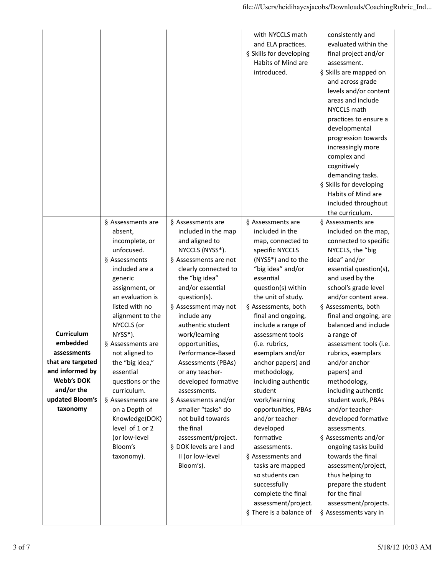|                                                                                                                                                 |                                                                                                                                                                                                                                                                                                                                                                                                                                                |                                                                                                                                                                                                                                                                                                                                                                                                                                                                                                                                                                   | with NYCCLS math<br>and ELA practices.<br>§ Skills for developing<br>Habits of Mind are<br>introduced.                                                                                                                                                                                                                                                                                                                                                                                                                                                                                                                                         | consistently and<br>evaluated within the<br>final project and/or<br>assessment.<br>§ Skills are mapped on<br>and across grade<br>levels and/or content<br>areas and include<br>NYCCLS math<br>practices to ensure a<br>developmental<br>progression towards<br>increasingly more<br>complex and<br>cognitively<br>demanding tasks.<br>§ Skills for developing<br>Habits of Mind are<br>included throughout<br>the curriculum.                                                                                                                                                                                                                                                                            |
|-------------------------------------------------------------------------------------------------------------------------------------------------|------------------------------------------------------------------------------------------------------------------------------------------------------------------------------------------------------------------------------------------------------------------------------------------------------------------------------------------------------------------------------------------------------------------------------------------------|-------------------------------------------------------------------------------------------------------------------------------------------------------------------------------------------------------------------------------------------------------------------------------------------------------------------------------------------------------------------------------------------------------------------------------------------------------------------------------------------------------------------------------------------------------------------|------------------------------------------------------------------------------------------------------------------------------------------------------------------------------------------------------------------------------------------------------------------------------------------------------------------------------------------------------------------------------------------------------------------------------------------------------------------------------------------------------------------------------------------------------------------------------------------------------------------------------------------------|----------------------------------------------------------------------------------------------------------------------------------------------------------------------------------------------------------------------------------------------------------------------------------------------------------------------------------------------------------------------------------------------------------------------------------------------------------------------------------------------------------------------------------------------------------------------------------------------------------------------------------------------------------------------------------------------------------|
| Curriculum<br>embedded<br>assessments<br>that are targeted<br>and informed by<br><b>Webb's DOK</b><br>and/or the<br>updated Bloom's<br>taxonomy | § Assessments are<br>absent,<br>incomplete, or<br>unfocused.<br>§ Assessments<br>included are a<br>generic<br>assignment, or<br>an evaluation is<br>listed with no<br>alignment to the<br>NYCCLS (or<br>NYSS*).<br>§ Assessments are<br>not aligned to<br>the "big idea,"<br>essential<br>questions or the<br>curriculum.<br>§ Assessments are<br>on a Depth of<br>Knowledge(DOK)<br>level of 1 or 2<br>(or low-level<br>Bloom's<br>taxonomy). | § Assessments are<br>included in the map<br>and aligned to<br>NYCCLS (NYSS*).<br>§ Assessments are not<br>clearly connected to<br>the "big idea"<br>and/or essential<br>question(s).<br>§ Assessment may not<br>include any<br>authentic student<br>work/learning<br>opportunities,<br>Performance-Based<br><b>Assessments (PBAs)</b><br>or any teacher-<br>developed formative<br>assessments.<br>§ Assessments and/or<br>smaller "tasks" do<br>not build towards<br>the final<br>assessment/project.<br>§ DOK levels are I and<br>II (or low-level<br>Bloom's). | § Assessments are<br>included in the<br>map, connected to<br>specific NYCCLS<br>(NYSS*) and to the<br>"big idea" and/or<br>essential<br>question(s) within<br>the unit of study.<br>§ Assessments, both<br>final and ongoing,<br>include a range of<br>assessment tools<br>(i.e. rubrics,<br>exemplars and/or<br>anchor papers) and<br>methodology,<br>including authentic<br>student<br>work/learning<br>opportunities, PBAs<br>and/or teacher-<br>developed<br>formative<br>assessments.<br>§ Assessments and<br>tasks are mapped<br>so students can<br>successfully<br>complete the final<br>assessment/project.<br>§ There is a balance of | § Assessments are<br>included on the map,<br>connected to specific<br>NYCCLS, the "big<br>idea" and/or<br>essential question(s),<br>and used by the<br>school's grade level<br>and/or content area.<br>§ Assessments, both<br>final and ongoing, are<br>balanced and include<br>a range of<br>assessment tools (i.e.<br>rubrics, exemplars<br>and/or anchor<br>papers) and<br>methodology,<br>including authentic<br>student work, PBAs<br>and/or teacher-<br>developed formative<br>assessments.<br>§ Assessments and/or<br>ongoing tasks build<br>towards the final<br>assessment/project,<br>thus helping to<br>prepare the student<br>for the final<br>assessment/projects.<br>§ Assessments vary in |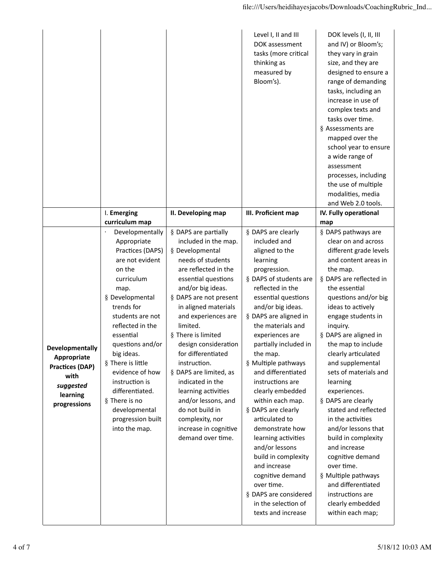|                                                                                                           |                                                                                                                                                                                                                                                                                                                                                                                                      |                                                                                                                                                                                                                                                                                                                                                                                                                                                                                                                   | Level I, II and III<br>DOK assessment<br>tasks (more critical<br>thinking as<br>measured by<br>Bloom's).                                                                                                                                                                                                                                                                                                                                                                                                                                                                                                                                     | DOK levels (I, II, III<br>and IV) or Bloom's;<br>they vary in grain<br>size, and they are<br>designed to ensure a<br>range of demanding<br>tasks, including an<br>increase in use of<br>complex texts and<br>tasks over time.<br>§ Assessments are<br>mapped over the<br>school year to ensure<br>a wide range of<br>assessment<br>processes, including<br>the use of multiple<br>modalities, media<br>and Web 2.0 tools.                                                                                                                                                                                                                                             |
|-----------------------------------------------------------------------------------------------------------|------------------------------------------------------------------------------------------------------------------------------------------------------------------------------------------------------------------------------------------------------------------------------------------------------------------------------------------------------------------------------------------------------|-------------------------------------------------------------------------------------------------------------------------------------------------------------------------------------------------------------------------------------------------------------------------------------------------------------------------------------------------------------------------------------------------------------------------------------------------------------------------------------------------------------------|----------------------------------------------------------------------------------------------------------------------------------------------------------------------------------------------------------------------------------------------------------------------------------------------------------------------------------------------------------------------------------------------------------------------------------------------------------------------------------------------------------------------------------------------------------------------------------------------------------------------------------------------|-----------------------------------------------------------------------------------------------------------------------------------------------------------------------------------------------------------------------------------------------------------------------------------------------------------------------------------------------------------------------------------------------------------------------------------------------------------------------------------------------------------------------------------------------------------------------------------------------------------------------------------------------------------------------|
|                                                                                                           | I. Emerging                                                                                                                                                                                                                                                                                                                                                                                          | II. Developing map                                                                                                                                                                                                                                                                                                                                                                                                                                                                                                | III. Proficient map                                                                                                                                                                                                                                                                                                                                                                                                                                                                                                                                                                                                                          | IV. Fully operational                                                                                                                                                                                                                                                                                                                                                                                                                                                                                                                                                                                                                                                 |
| Developmentally<br>Appropriate<br><b>Practices (DAP)</b><br>with<br>suggested<br>learning<br>progressions | curriculum map<br>Developmentally<br>Appropriate<br>Practices (DAPS)<br>are not evident<br>on the<br>curriculum<br>map.<br>§ Developmental<br>trends for<br>students are not<br>reflected in the<br>essential<br>questions and/or<br>big ideas.<br>§ There is little<br>evidence of how<br>instruction is<br>differentiated.<br>§ There is no<br>developmental<br>progression built<br>into the map. | § DAPS are partially<br>included in the map.<br>§ Developmental<br>needs of students<br>are reflected in the<br>essential questions<br>and/or big ideas.<br>§ DAPS are not present<br>in aligned materials<br>and experiences are<br>limited.<br>§ There is limited<br>design consideration<br>for differentiated<br>instruction.<br>§ DAPS are limited, as<br>indicated in the<br>learning activities<br>and/or lessons, and<br>do not build in<br>complexity, nor<br>increase in cognitive<br>demand over time. | § DAPS are clearly<br>included and<br>aligned to the<br>learning<br>progression.<br>§ DAPS of students are<br>reflected in the<br>essential questions<br>and/or big ideas.<br>§ DAPS are aligned in<br>the materials and<br>experiences are<br>partially included in<br>the map.<br>§ Multiple pathways<br>and differentiated<br>instructions are<br>clearly embedded<br>within each map.<br>§ DAPS are clearly<br>articulated to<br>demonstrate how<br>learning activities<br>and/or lessons<br>build in complexity<br>and increase<br>cognitive demand<br>over time.<br>§ DAPS are considered<br>in the selection of<br>texts and increase | map<br>§ DAPS pathways are<br>clear on and across<br>different grade levels<br>and content areas in<br>the map.<br>§ DAPS are reflected in<br>the essential<br>questions and/or big<br>ideas to actively<br>engage students in<br>inquiry.<br>§ DAPS are aligned in<br>the map to include<br>clearly articulated<br>and supplemental<br>sets of materials and<br>learning<br>experiences.<br>§ DAPS are clearly<br>stated and reflected<br>in the activities<br>and/or lessons that<br>build in complexity<br>and increase<br>cognitive demand<br>over time.<br>§ Multiple pathways<br>and differentiated<br>instructions are<br>clearly embedded<br>within each map; |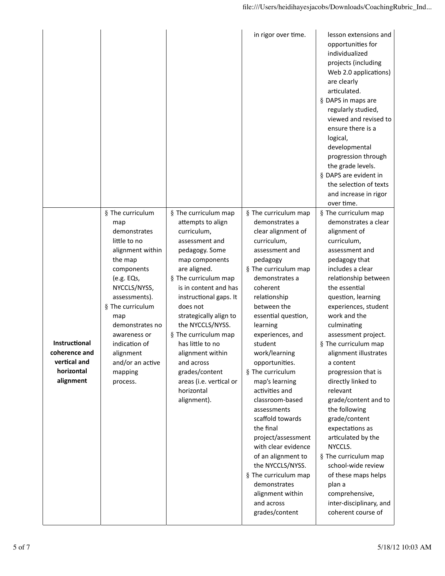|                                                                                  |                                                                                                                                                                                                                                                                                            |                                                                                                                                                                                                                                                                                                                                                                                                                             | in rigor over time.                                                                                                                                                                                                                                                                                                                                                                                                                                                                                                                                                                                               | lesson extensions and<br>opportunities for<br>individualized<br>projects (including<br>Web 2.0 applications)<br>are clearly<br>articulated.<br>§ DAPS in maps are<br>regularly studied,<br>viewed and revised to<br>ensure there is a<br>logical,<br>developmental<br>progression through<br>the grade levels.<br>§ DAPS are evident in<br>the selection of texts<br>and increase in rigor<br>over time.                                                                                                                                                                                                                                                               |
|----------------------------------------------------------------------------------|--------------------------------------------------------------------------------------------------------------------------------------------------------------------------------------------------------------------------------------------------------------------------------------------|-----------------------------------------------------------------------------------------------------------------------------------------------------------------------------------------------------------------------------------------------------------------------------------------------------------------------------------------------------------------------------------------------------------------------------|-------------------------------------------------------------------------------------------------------------------------------------------------------------------------------------------------------------------------------------------------------------------------------------------------------------------------------------------------------------------------------------------------------------------------------------------------------------------------------------------------------------------------------------------------------------------------------------------------------------------|------------------------------------------------------------------------------------------------------------------------------------------------------------------------------------------------------------------------------------------------------------------------------------------------------------------------------------------------------------------------------------------------------------------------------------------------------------------------------------------------------------------------------------------------------------------------------------------------------------------------------------------------------------------------|
| <b>Instructional</b><br>coherence and<br>vertical and<br>horizontal<br>alignment | § The curriculum<br>map<br>demonstrates<br>little to no<br>alignment within<br>the map<br>components<br>(e.g. EQs,<br>NYCCLS/NYSS,<br>assessments).<br>§ The curriculum<br>map<br>demonstrates no<br>awareness or<br>indication of<br>alignment<br>and/or an active<br>mapping<br>process. | § The curriculum map<br>attempts to align<br>curriculum,<br>assessment and<br>pedagogy. Some<br>map components<br>are aligned.<br>§ The curriculum map<br>is in content and has<br>instructional gaps. It<br>does not<br>strategically align to<br>the NYCCLS/NYSS.<br>§ The curriculum map<br>has little to no<br>alignment within<br>and across<br>grades/content<br>areas (i.e. vertical or<br>horizontal<br>alignment). | § The curriculum map<br>demonstrates a<br>clear alignment of<br>curriculum,<br>assessment and<br>pedagogy<br>§ The curriculum map<br>demonstrates a<br>coherent<br>relationship<br>between the<br>essential question,<br>learning<br>experiences, and<br>student<br>work/learning<br>opportunities.<br>§ The curriculum<br>map's learning<br>activities and<br>classroom-based<br>assessments<br>scaffold towards<br>the final<br>project/assessment<br>with clear evidence<br>of an alignment to<br>the NYCCLS/NYSS.<br>§ The curriculum map<br>demonstrates<br>alignment within<br>and across<br>grades/content | § The curriculum map<br>demonstrates a clear<br>alignment of<br>curriculum,<br>assessment and<br>pedagogy that<br>includes a clear<br>relationship between<br>the essential<br>question, learning<br>experiences, student<br>work and the<br>culminating<br>assessment project.<br>§ The curriculum map<br>alignment illustrates<br>a content<br>progression that is<br>directly linked to<br>relevant<br>grade/content and to<br>the following<br>grade/content<br>expectations as<br>articulated by the<br>NYCCLS.<br>§ The curriculum map<br>school-wide review<br>of these maps helps<br>plan a<br>comprehensive,<br>inter-disciplinary, and<br>coherent course of |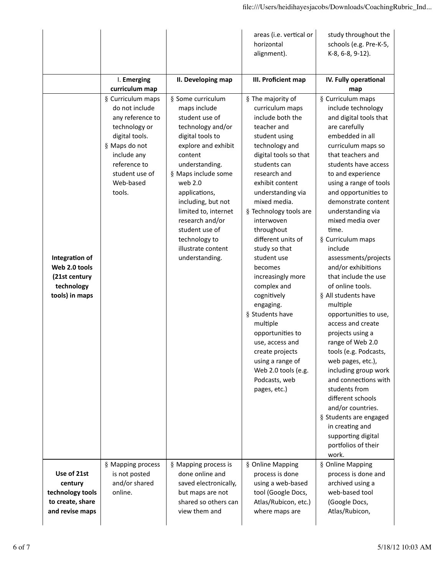|                                                                                   |                                                                                                                                                                                     |                                                                                                                                                                                                                                                                                                                                                 | areas (i.e. vertical or<br>horizontal<br>alignment).                                                                                                                                                                                                                                                                                                                                                                                                                                                                                                                                    | study throughout the<br>schools (e.g. Pre-K-5,<br>K-8, 6-8, 9-12).                                                                                                                                                                                                                                                                                                                                                                                                                                                                                                                                                                                                                                                                                                                                                                      |
|-----------------------------------------------------------------------------------|-------------------------------------------------------------------------------------------------------------------------------------------------------------------------------------|-------------------------------------------------------------------------------------------------------------------------------------------------------------------------------------------------------------------------------------------------------------------------------------------------------------------------------------------------|-----------------------------------------------------------------------------------------------------------------------------------------------------------------------------------------------------------------------------------------------------------------------------------------------------------------------------------------------------------------------------------------------------------------------------------------------------------------------------------------------------------------------------------------------------------------------------------------|-----------------------------------------------------------------------------------------------------------------------------------------------------------------------------------------------------------------------------------------------------------------------------------------------------------------------------------------------------------------------------------------------------------------------------------------------------------------------------------------------------------------------------------------------------------------------------------------------------------------------------------------------------------------------------------------------------------------------------------------------------------------------------------------------------------------------------------------|
|                                                                                   | I. Emerging<br>curriculum map                                                                                                                                                       | II. Developing map                                                                                                                                                                                                                                                                                                                              | III. Proficient map                                                                                                                                                                                                                                                                                                                                                                                                                                                                                                                                                                     | IV. Fully operational<br>map                                                                                                                                                                                                                                                                                                                                                                                                                                                                                                                                                                                                                                                                                                                                                                                                            |
| Integration of<br>Web 2.0 tools<br>(21st century<br>technology<br>tools) in maps  | § Curriculum maps<br>do not include<br>any reference to<br>technology or<br>digital tools.<br>§ Maps do not<br>include any<br>reference to<br>student use of<br>Web-based<br>tools. | § Some curriculum<br>maps include<br>student use of<br>technology and/or<br>digital tools to<br>explore and exhibit<br>content<br>understanding.<br>§ Maps include some<br>web 2.0<br>applications,<br>including, but not<br>limited to, internet<br>research and/or<br>student use of<br>technology to<br>illustrate content<br>understanding. | § The majority of<br>curriculum maps<br>include both the<br>teacher and<br>student using<br>technology and<br>digital tools so that<br>students can<br>research and<br>exhibit content<br>understanding via<br>mixed media.<br>§ Technology tools are<br>interwoven<br>throughout<br>different units of<br>study so that<br>student use<br>becomes<br>increasingly more<br>complex and<br>cognitively<br>engaging.<br>§ Students have<br>multiple<br>opportunities to<br>use, access and<br>create projects<br>using a range of<br>Web 2.0 tools (e.g.<br>Podcasts, web<br>pages, etc.) | § Curriculum maps<br>include technology<br>and digital tools that<br>are carefully<br>embedded in all<br>curriculum maps so<br>that teachers and<br>students have access<br>to and experience<br>using a range of tools<br>and opportunities to<br>demonstrate content<br>understanding via<br>mixed media over<br>time.<br>§ Curriculum maps<br>include<br>assessments/projects<br>and/or exhibitions<br>that include the use<br>of online tools.<br>§ All students have<br>multiple<br>opportunities to use,<br>access and create<br>projects using a<br>range of Web 2.0<br>tools (e.g. Podcasts,<br>web pages, etc.),<br>including group work<br>and connections with<br>students from<br>different schools<br>and/or countries.<br>§ Students are engaged<br>in creating and<br>supporting digital<br>portfolios of their<br>work. |
| Use of 21st<br>century<br>technology tools<br>to create, share<br>and revise maps | § Mapping process<br>is not posted<br>and/or shared<br>online.                                                                                                                      | § Mapping process is<br>done online and<br>saved electronically,<br>but maps are not<br>shared so others can<br>view them and                                                                                                                                                                                                                   | § Online Mapping<br>process is done<br>using a web-based<br>tool (Google Docs,<br>Atlas/Rubicon, etc.)<br>where maps are                                                                                                                                                                                                                                                                                                                                                                                                                                                                | § Online Mapping<br>process is done and<br>archived using a<br>web-based tool<br>(Google Docs,<br>Atlas/Rubicon,                                                                                                                                                                                                                                                                                                                                                                                                                                                                                                                                                                                                                                                                                                                        |